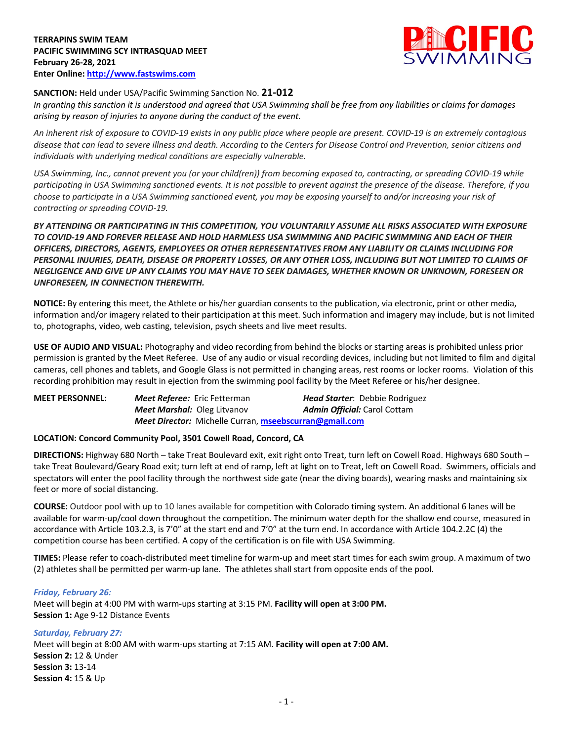

# **SANCTION:** Held under USA/Pacific Swimming Sanction No. **21-012**

*In granting this sanction it is understood and agreed that USA Swimming shall be free from any liabilities or claims for damages arising by reason of injuries to anyone during the conduct of the event.* 

*An inherent risk of exposure to COVID-19 exists in any public place where people are present. COVID-19 is an extremely contagious disease that can lead to severe illness and death. According to the Centers for Disease Control and Prevention, senior citizens and individuals with underlying medical conditions are especially vulnerable.*

*USA Swimming, Inc., cannot prevent you (or your child(ren)) from becoming exposed to, contracting, or spreading COVID-19 while participating in USA Swimming sanctioned events. It is not possible to prevent against the presence of the disease. Therefore, if you choose to participate in a USA Swimming sanctioned event, you may be exposing yourself to and/or increasing your risk of contracting or spreading COVID-19.*

*BY ATTENDING OR PARTICIPATING IN THIS COMPETITION, YOU VOLUNTARILY ASSUME ALL RISKS ASSOCIATED WITH EXPOSURE TO COVID-19 AND FOREVER RELEASE AND HOLD HARMLESS USA SWIMMING AND PACIFIC SWIMMING AND EACH OF THEIR OFFICERS, DIRECTORS, AGENTS, EMPLOYEES OR OTHER REPRESENTATIVES FROM ANY LIABILITY OR CLAIMS INCLUDING FOR PERSONAL INJURIES, DEATH, DISEASE OR PROPERTY LOSSES, OR ANY OTHER LOSS, INCLUDING BUT NOT LIMITED TO CLAIMS OF NEGLIGENCE AND GIVE UP ANY CLAIMS YOU MAY HAVE TO SEEK DAMAGES, WHETHER KNOWN OR UNKNOWN, FORESEEN OR UNFORESEEN, IN CONNECTION THEREWITH.*

**NOTICE:** By entering this meet, the Athlete or his/her guardian consents to the publication, via electronic, print or other media, information and/or imagery related to their participation at this meet. Such information and imagery may include, but is not limited to, photographs, video, web casting, television, psych sheets and live meet results.

**USE OF AUDIO AND VISUAL:** Photography and video recording from behind the blocks or starting areas is prohibited unless prior permission is granted by the Meet Referee. Use of any audio or visual recording devices, including but not limited to film and digital cameras, cell phones and tablets, and Google Glass is not permitted in changing areas, rest rooms or locker rooms. Violation of this recording prohibition may result in ejection from the swimming pool facility by the Meet Referee or his/her designee.

| <b>MEET PERSONNEL:</b> | <b>Meet Referee:</b> Eric Fetterman                           | <b>Head Starter:</b> Debbie Rodriguez |
|------------------------|---------------------------------------------------------------|---------------------------------------|
|                        | <b>Meet Marshal: Oleg Litvanov</b>                            | <b>Admin Official:</b> Carol Cottam   |
|                        | <b>Meet Director:</b> Michelle Curran, mseebscurran@gmail.com |                                       |

# **LOCATION: Concord Community Pool, 3501 Cowell Road, Concord, CA**

**DIRECTIONS:** Highway 680 North – take Treat Boulevard exit, exit right onto Treat, turn left on Cowell Road. Highways 680 South – take Treat Boulevard/Geary Road exit; turn left at end of ramp, left at light on to Treat, left on Cowell Road. Swimmers, officials and spectators will enter the pool facility through the northwest side gate (near the diving boards), wearing masks and maintaining six feet or more of social distancing.

**COURSE:** Outdoor pool with up to 10 lanes available for competition with Colorado timing system. An additional 6 lanes will be available for warm-up/cool down throughout the competition. The minimum water depth for the shallow end course, measured in accordance with Article 103.2.3, is 7'0" at the start end and 7'0" at the turn end. In accordance with Article 104.2.2C (4) the competition course has been certified. A copy of the certification is on file with USA Swimming.

**TIMES:** Please refer to coach-distributed meet timeline for warm-up and meet start times for each swim group. A maximum of two (2) athletes shall be permitted per warm-up lane. The athletes shall start from opposite ends of the pool.

# *Friday, February 26:*

Meet will begin at 4:00 PM with warm-ups starting at 3:15 PM. **Facility will open at 3:00 PM. Session 1:** Age 9-12 Distance Events

*Saturday, February 27:* Meet will begin at 8:00 AM with warm-ups starting at 7:15 AM. **Facility will open at 7:00 AM. Session 2:** 12 & Under **Session 3:** 13-14 **Session 4:** 15 & Up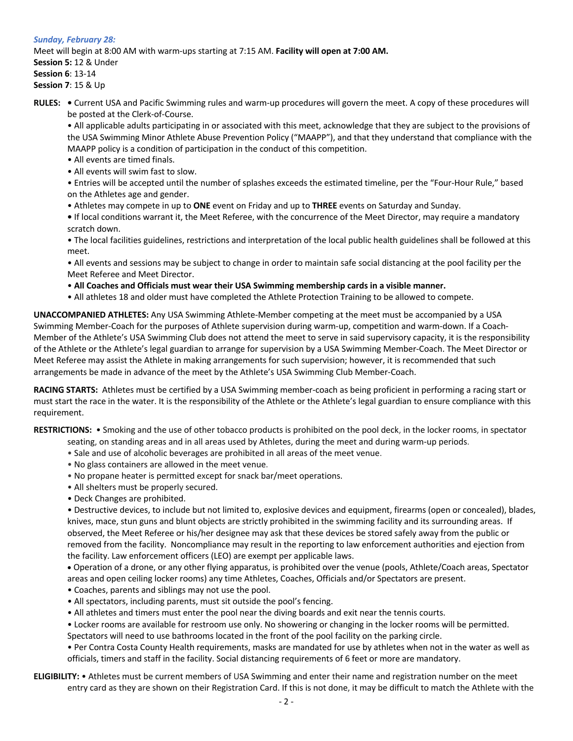# *Sunday, February 28:* Meet will begin at 8:00 AM with warm-ups starting at 7:15 AM. **Facility will open at 7:00 AM. Session 5:** 12 & Under **Session 6**: 13-14 **Session 7**: 15 & Up

**RULES: •** Current USA and Pacific Swimming rules and warm-up procedures will govern the meet. A copy of these procedures will be posted at the Clerk-of-Course.

• All applicable adults participating in or associated with this meet, acknowledge that they are subject to the provisions of the USA Swimming Minor Athlete Abuse Prevention Policy ("MAAPP"), and that they understand that compliance with the MAAPP policy is a condition of participation in the conduct of this competition.

- All events are timed finals.
- All events will swim fast to slow.

• Entries will be accepted until the number of splashes exceeds the estimated timeline, per the "Four-Hour Rule," based on the Athletes age and gender.

- Athletes may compete in up to **ONE** event on Friday and up to **THREE** events on Saturday and Sunday.
- If local conditions warrant it, the Meet Referee, with the concurrence of the Meet Director, may require a mandatory scratch down.

• The local facilities guidelines, restrictions and interpretation of the local public health guidelines shall be followed at this meet.

• All events and sessions may be subject to change in order to maintain safe social distancing at the pool facility per the Meet Referee and Meet Director.

- **All Coaches and Officials must wear their USA Swimming membership cards in a visible manner.**
- All athletes 18 and older must have completed the Athlete Protection Training to be allowed to compete.

**UNACCOMPANIED ATHLETES:** Any USA Swimming Athlete-Member competing at the meet must be accompanied by a USA Swimming Member-Coach for the purposes of Athlete supervision during warm-up, competition and warm-down. If a Coach-Member of the Athlete's USA Swimming Club does not attend the meet to serve in said supervisory capacity, it is the responsibility of the Athlete or the Athlete's legal guardian to arrange for supervision by a USA Swimming Member-Coach. The Meet Director or Meet Referee may assist the Athlete in making arrangements for such supervision; however, it is recommended that such arrangements be made in advance of the meet by the Athlete's USA Swimming Club Member-Coach.

**RACING STARTS:** Athletes must be certified by a USA Swimming member-coach as being proficient in performing a racing start or must start the race in the water. It is the responsibility of the Athlete or the Athlete's legal guardian to ensure compliance with this requirement.

**RESTRICTIONS:** • Smoking and the use of other tobacco products is prohibited on the pool deck, in the locker rooms, in spectator

- seating, on standing areas and in all areas used by Athletes, during the meet and during warm-up periods.
- Sale and use of alcoholic beverages are prohibited in all areas of the meet venue.
- No glass containers are allowed in the meet venue.
- No propane heater is permitted except for snack bar/meet operations.
- All shelters must be properly secured.
- Deck Changes are prohibited.

• Destructive devices, to include but not limited to, explosive devices and equipment, firearms (open or concealed), blades, knives, mace, stun guns and blunt objects are strictly prohibited in the swimming facility and its surrounding areas. If observed, the Meet Referee or his/her designee may ask that these devices be stored safely away from the public or removed from the facility. Noncompliance may result in the reporting to law enforcement authorities and ejection from the facility. Law enforcement officers (LEO) are exempt per applicable laws.

• Operation of a drone, or any other flying apparatus, is prohibited over the venue (pools, Athlete/Coach areas, Spectator areas and open ceiling locker rooms) any time Athletes, Coaches, Officials and/or Spectators are present.

- Coaches, parents and siblings may not use the pool.
- All spectators, including parents, must sit outside the pool's fencing.
- All athletes and timers must enter the pool near the diving boards and exit near the tennis courts.
- Locker rooms are available for restroom use only. No showering or changing in the locker rooms will be permitted.

Spectators will need to use bathrooms located in the front of the pool facility on the parking circle.

• Per Contra Costa County Health requirements, masks are mandated for use by athletes when not in the water as well as officials, timers and staff in the facility. Social distancing requirements of 6 feet or more are mandatory.

# **ELIGIBILITY:** • Athletes must be current members of USA Swimming and enter their name and registration number on the meet entry card as they are shown on their Registration Card. If this is not done, it may be difficult to match the Athlete with the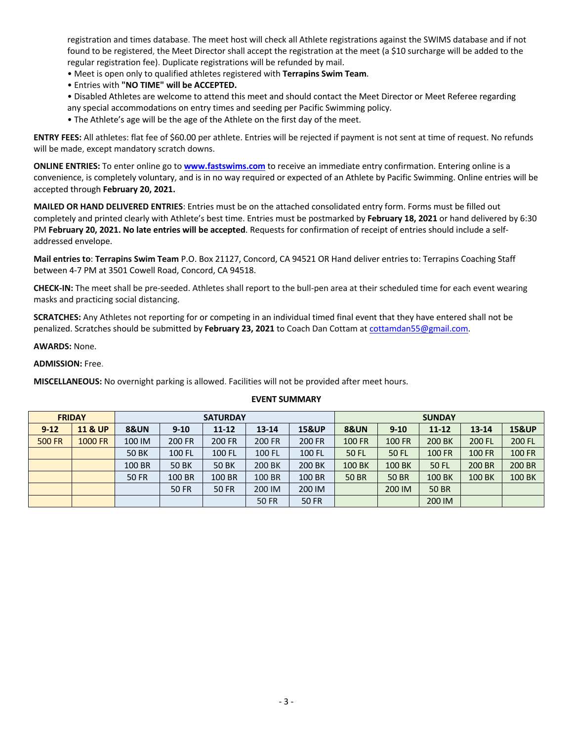registration and times database. The meet host will check all Athlete registrations against the SWIMS database and if not found to be registered, the Meet Director shall accept the registration at the meet (a \$10 surcharge will be added to the regular registration fee). Duplicate registrations will be refunded by mail.

- Meet is open only to qualified athletes registered with **Terrapins Swim Team**.
- Entries with **"NO TIME" will be ACCEPTED.**
- Disabled Athletes are welcome to attend this meet and should contact the Meet Director or Meet Referee regarding any special accommodations on entry times and seeding per Pacific Swimming policy.
- The Athlete's age will be the age of the Athlete on the first day of the meet.

**ENTRY FEES:** All athletes: flat fee of \$60.00 per athlete. Entries will be rejected if payment is not sent at time of request. No refunds will be made, except mandatory scratch downs.

**ONLINE ENTRIES:** To enter online go to **www.fastswims.com** to receive an immediate entry confirmation. Entering online is a convenience, is completely voluntary, and is in no way required or expected of an Athlete by Pacific Swimming. Online entries will be accepted through **February 20, 2021.**

**MAILED OR HAND DELIVERED ENTRIES**: Entries must be on the attached consolidated entry form. Forms must be filled out completely and printed clearly with Athlete's best time. Entries must be postmarked by **February 18, 2021** or hand delivered by 6:30 PM **February 20, 2021. No late entries will be accepted**. Requests for confirmation of receipt of entries should include a selfaddressed envelope.

**Mail entries to**: **Terrapins Swim Team** P.O. Box 21127, Concord, CA 94521 OR Hand deliver entries to: Terrapins Coaching Staff between 4-7 PM at 3501 Cowell Road, Concord, CA 94518.

**CHECK-IN:** The meet shall be pre-seeded. Athletes shall report to the bull-pen area at their scheduled time for each event wearing masks and practicing social distancing.

**SCRATCHES:** Any Athletes not reporting for or competing in an individual timed final event that they have entered shall not be penalized. Scratches should be submitted by **February 23, 2021** to Coach Dan Cottam at cottamdan55@gmail.com.

#### **AWARDS:** None.

#### **ADMISSION:** Free.

**MISCELLANEOUS:** No overnight parking is allowed. Facilities will not be provided after meet hours.

| <b>FRIDAY</b> |                    |                             | <b>SUNDAY</b> |              |              |                  |                 |               |               |               |                  |
|---------------|--------------------|-----------------------------|---------------|--------------|--------------|------------------|-----------------|---------------|---------------|---------------|------------------|
| $9 - 12$      | <b>11 &amp; UP</b> | <b>8&amp;UN</b><br>$9 - 10$ |               | $11 - 12$    | $13 - 14$    | <b>15&amp;UP</b> | <b>8&amp;UN</b> | $9 - 10$      | $11 - 12$     | $13 - 14$     | <b>15&amp;UP</b> |
| <b>500 FR</b> | 1000 FR            | 100 IM                      | 200 FR        | 200 FR       | 200 FR       | 200 FR           | <b>100 FR</b>   | <b>100 FR</b> | 200 BK        | 200 FL        | 200 FL           |
|               |                    | <b>50 BK</b>                | 100 FL        | 100 FL       | 100 FL       | 100 FL           | 50 FL           | <b>50 FL</b>  | <b>100 FR</b> | <b>100 FR</b> | <b>100 FR</b>    |
|               |                    | 100 BR                      | <b>50 BK</b>  | <b>50 BK</b> | 200 BK       | 200 BK           | 100 BK          | 100 BK        | <b>50 FL</b>  | 200 BR        | 200 BR           |
|               |                    | <b>50 FR</b>                | 100 BR        | 100 BR       | 100 BR       | 100 BR           | <b>50 BR</b>    | <b>50 BR</b>  | 100 BK        | 100 BK        | <b>100 BK</b>    |
|               |                    |                             | <b>50 FR</b>  | <b>50 FR</b> | 200 IM       | 200 IM           |                 | 200 IM        | <b>50 BR</b>  |               |                  |
|               |                    |                             |               |              | <b>50 FR</b> | <b>50 FR</b>     |                 |               | 200 IM        |               |                  |

#### **EVENT SUMMARY**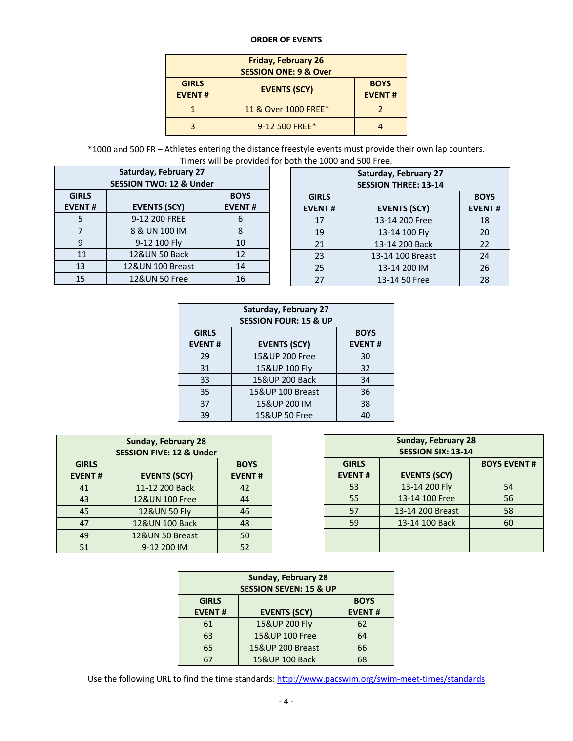#### **ORDER OF EVENTS**

| <b>GIRLS</b><br><b>EVENT#</b> | <b>EVENTS (SCY)</b>  | <b>BOYS</b><br><b>EVENT#</b> |
|-------------------------------|----------------------|------------------------------|
|                               | 11 & Over 1000 FREE* |                              |
|                               | 9-12 500 FREE*       |                              |

\*1000 and 500 FR – Athletes entering the distance freestyle events must provide their own lap counters. Timers will be provided for both the 1000 and 500 Free.

|                                                                                      | Saturday, February 27<br><b>SESSION TWO: 12 &amp; Under</b> |    |  |               | <b>Saturday, February 27</b><br><b>SESSION THREE: 13-14</b> |               |
|--------------------------------------------------------------------------------------|-------------------------------------------------------------|----|--|---------------|-------------------------------------------------------------|---------------|
| <b>BOYS</b><br><b>GIRLS</b><br><b>EVENTS (SCY)</b><br><b>EVENT#</b><br><b>EVENT#</b> |                                                             |    |  | <b>GIRLS</b>  | <b>BOYS</b>                                                 |               |
|                                                                                      |                                                             |    |  | <b>EVENT#</b> | <b>EVENTS (SCY)</b>                                         | <b>EVENT#</b> |
|                                                                                      | 9-12 200 FREE                                               | b  |  | 17            | 13-14 200 Free                                              | 18            |
|                                                                                      | 8 & UN 100 IM                                               | 8  |  | 19            | 13-14 100 Fly                                               | 20            |
| 9                                                                                    | 9-12 100 Fly                                                | 10 |  | 21            | 13-14 200 Back                                              | 22            |
| 11                                                                                   | 12&UN 50 Back                                               | 12 |  | 23            | 13-14 100 Breast                                            | 24            |
| 13                                                                                   | 12&UN 100 Breast                                            | 14 |  | 25            | 13-14 200 IM                                                | 26            |
| 15                                                                                   | 12&UN 50 Free                                               | 16 |  | 27            | 13-14 50 Free                                               | 28            |

| Saturday, February 27<br><b>SESSION FOUR: 15 &amp; UP</b> |                     |               |  |  |  |  |  |  |  |
|-----------------------------------------------------------|---------------------|---------------|--|--|--|--|--|--|--|
| <b>GIRLS</b>                                              |                     | <b>BOYS</b>   |  |  |  |  |  |  |  |
| <b>EVENT#</b>                                             | <b>EVENTS (SCY)</b> | <b>EVENT#</b> |  |  |  |  |  |  |  |
| 29                                                        | 15&UP 200 Free      | 30            |  |  |  |  |  |  |  |
| 31                                                        | 15&UP 100 Fly       | 32            |  |  |  |  |  |  |  |
| 33                                                        | 15&UP 200 Back      | 34            |  |  |  |  |  |  |  |
| 35                                                        | 15&UP 100 Breast    | 36            |  |  |  |  |  |  |  |
| 37                                                        | 15&UP 200 IM        | 38            |  |  |  |  |  |  |  |
| 39                                                        | 15&UP 50 Free       | 40            |  |  |  |  |  |  |  |

| <b>Sunday, February 28</b><br><b>SESSION FIVE: 12 &amp; Under</b> |                         |               |  |  |  |  |  |  |  |  |
|-------------------------------------------------------------------|-------------------------|---------------|--|--|--|--|--|--|--|--|
| <b>GIRLS</b><br><b>BOYS</b>                                       |                         |               |  |  |  |  |  |  |  |  |
| <b>EVENT#</b>                                                     | <b>EVENTS (SCY)</b>     | <b>EVENT#</b> |  |  |  |  |  |  |  |  |
| 41                                                                | 11-12 200 Back          | 42            |  |  |  |  |  |  |  |  |
| 43                                                                | 12&UN 100 Free          | 44            |  |  |  |  |  |  |  |  |
| 45                                                                | <b>12&amp;UN 50 Fly</b> | 46            |  |  |  |  |  |  |  |  |
| 47                                                                | 12&UN 100 Back          | 48            |  |  |  |  |  |  |  |  |
| 49                                                                | 12&UN 50 Breast         | 50            |  |  |  |  |  |  |  |  |
| 51                                                                | 9-12 200 IM             | 52            |  |  |  |  |  |  |  |  |

| <b>Sunday, February 28</b><br><b>SESSION SIX: 13-14</b>                    |                  |    |  |  |  |  |  |  |  |  |
|----------------------------------------------------------------------------|------------------|----|--|--|--|--|--|--|--|--|
| <b>BOYS EVENT#</b><br><b>GIRLS</b><br><b>EVENTS (SCY)</b><br><b>EVENT#</b> |                  |    |  |  |  |  |  |  |  |  |
| 53                                                                         | 13-14 200 Fly    | 54 |  |  |  |  |  |  |  |  |
| 55                                                                         | 13-14 100 Free   | 56 |  |  |  |  |  |  |  |  |
| 57                                                                         | 13-14 200 Breast | 58 |  |  |  |  |  |  |  |  |
| 59                                                                         | 13-14 100 Back   | 60 |  |  |  |  |  |  |  |  |
|                                                                            |                  |    |  |  |  |  |  |  |  |  |
|                                                                            |                  |    |  |  |  |  |  |  |  |  |

| <b>Sunday, February 28</b>  |                                   |    |  |  |  |  |  |  |
|-----------------------------|-----------------------------------|----|--|--|--|--|--|--|
|                             | <b>SESSION SEVEN: 15 &amp; UP</b> |    |  |  |  |  |  |  |
| <b>GIRLS</b><br><b>BOYS</b> |                                   |    |  |  |  |  |  |  |
| <b>EVENT#</b>               | <b>EVENT#</b>                     |    |  |  |  |  |  |  |
| 61                          | 15&UP 200 Fly                     | 62 |  |  |  |  |  |  |
| 63                          | 15&UP 100 Free                    | 64 |  |  |  |  |  |  |
| 65                          | 15&UP 200 Breast                  | 66 |  |  |  |  |  |  |
| 67                          | 15&UP 100 Back                    | 68 |  |  |  |  |  |  |

Use the following URL to find the time standards: http://www.pacswim.org/swim-meet-times/standards